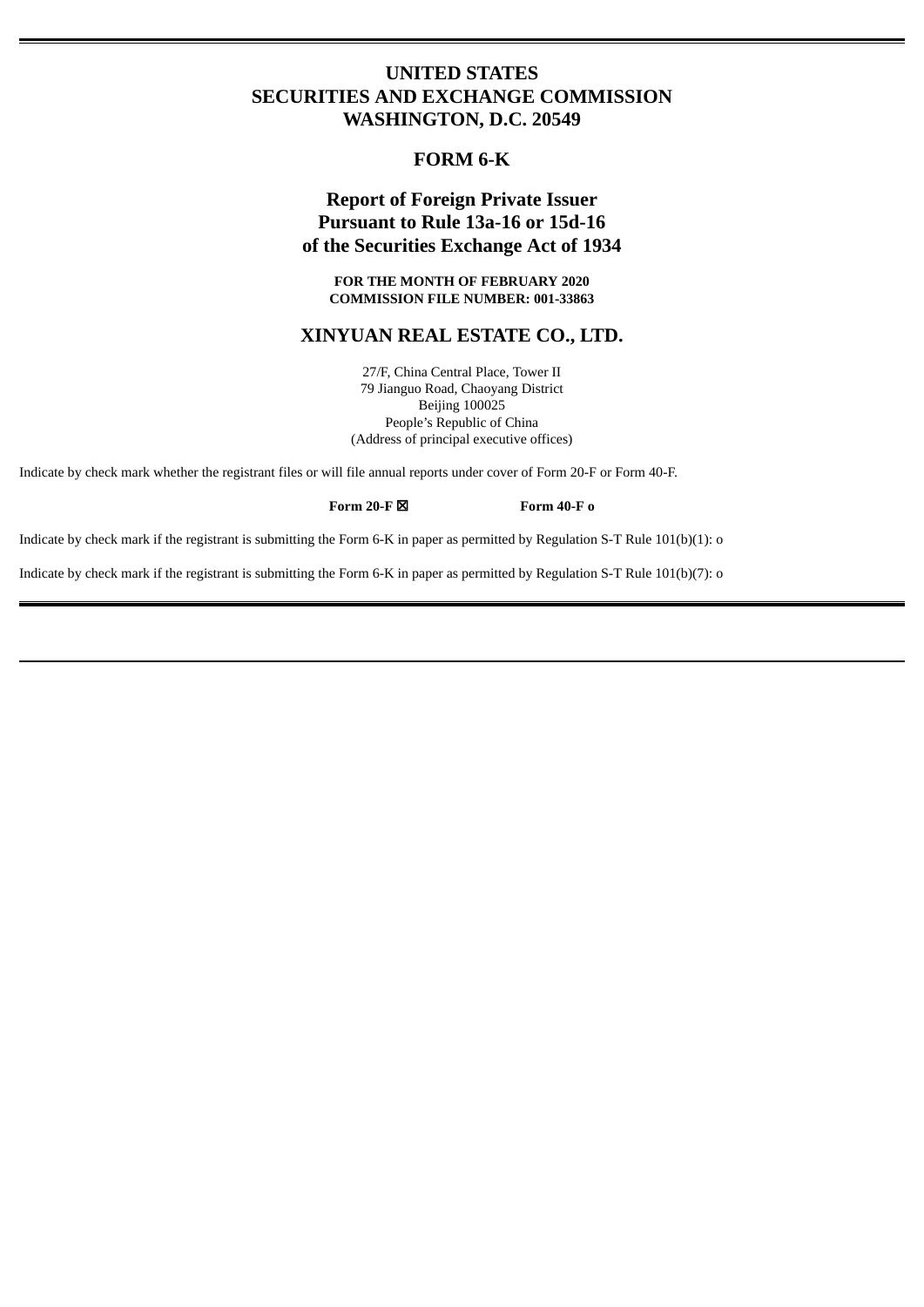## **UNITED STATES SECURITIES AND EXCHANGE COMMISSION WASHINGTON, D.C. 20549**

## **FORM 6-K**

# **Report of Foreign Private Issuer Pursuant to Rule 13a-16 or 15d-16 of the Securities Exchange Act of 1934**

**FOR THE MONTH OF FEBRUARY 2020 COMMISSION FILE NUMBER: 001-33863**

### **XINYUAN REAL ESTATE CO., LTD.**

27/F, China Central Place, Tower II 79 Jianguo Road, Chaoyang District Beijing 100025 People's Republic of China (Address of principal executive offices)

Indicate by check mark whether the registrant files or will file annual reports under cover of Form 20-F or Form 40-F.

**Form 20-F** ☒ **Form 40-F o**

Indicate by check mark if the registrant is submitting the Form 6-K in paper as permitted by Regulation S-T Rule 101(b)(1): o

Indicate by check mark if the registrant is submitting the Form 6-K in paper as permitted by Regulation S-T Rule 101(b)(7): o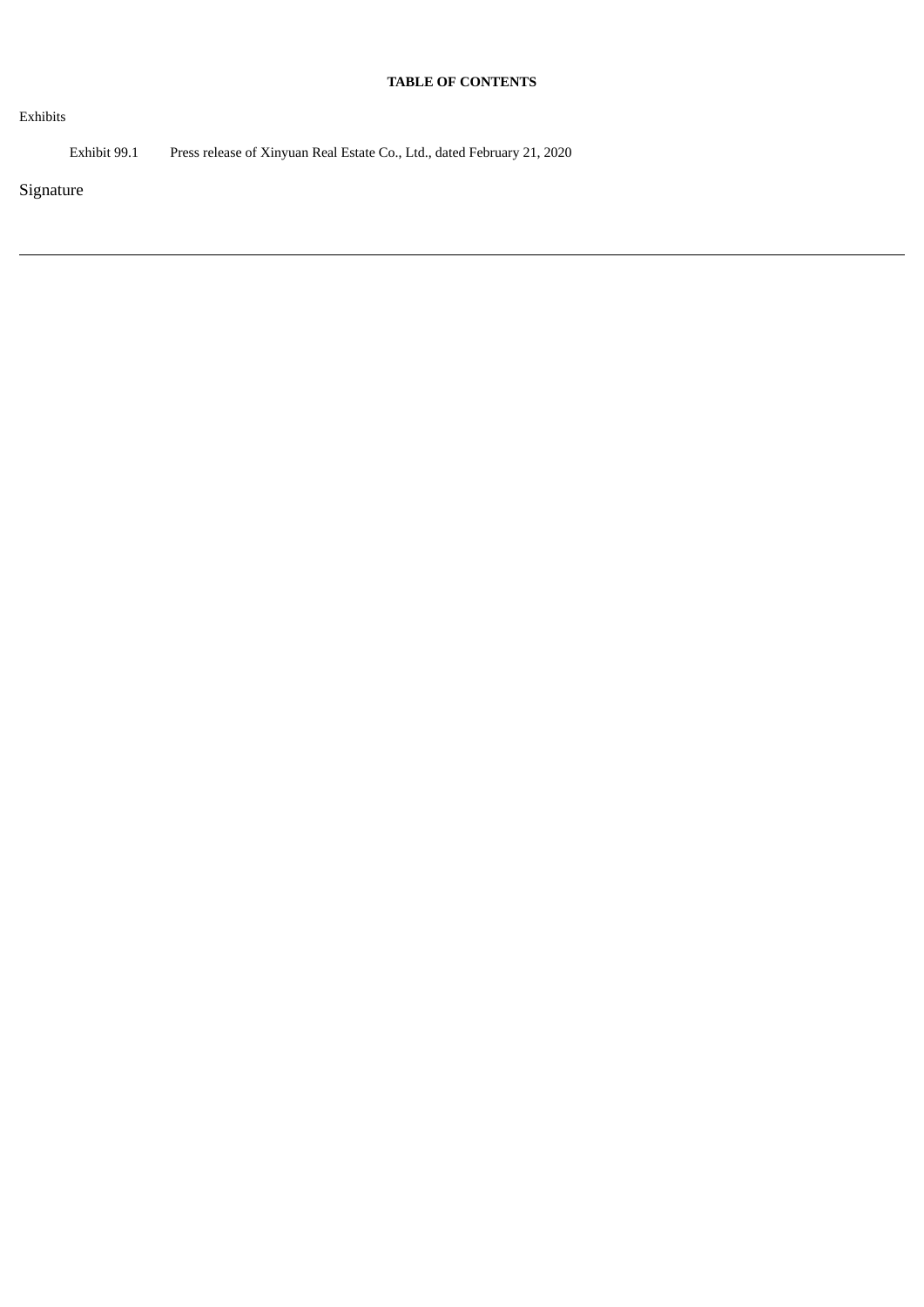## **TABLE OF CONTENTS**

Exhibits

Exhibit 99.1 Press release of Xinyuan Real Estate Co., Ltd., dated February 21, 2020

Signature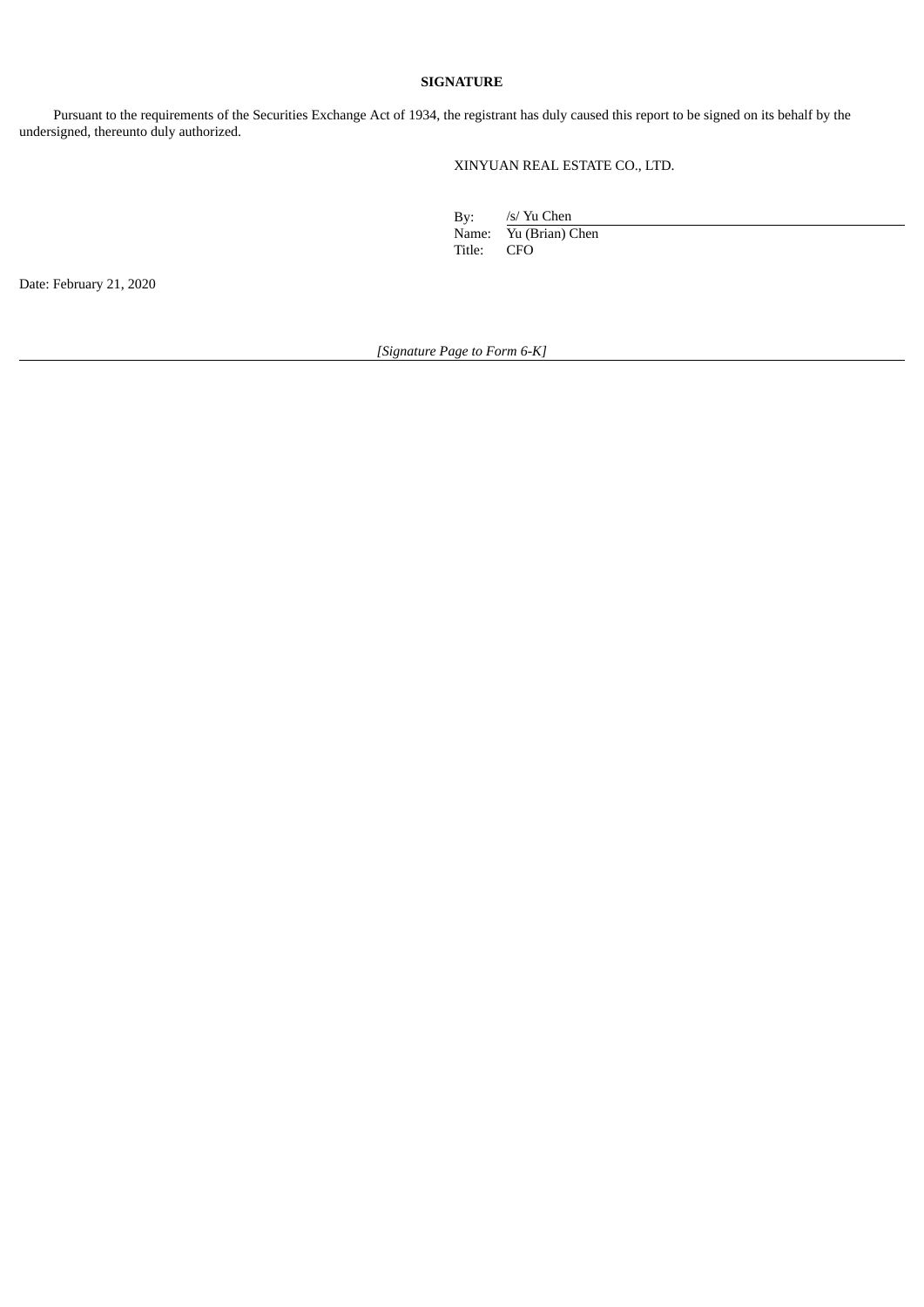### **SIGNATURE**

Pursuant to the requirements of the Securities Exchange Act of 1934, the registrant has duly caused this report to be signed on its behalf by the undersigned, thereunto duly authorized.

XINYUAN REAL ESTATE CO., LTD.

By: /s/ Yu Chen Name: Yu (Brian) Chen<br>Title: CFO CFO

Date: February 21, 2020

*[Signature Page to Form 6-K]*